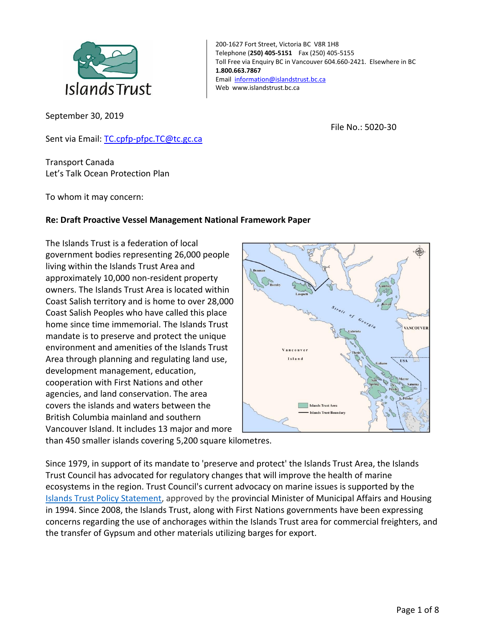

September 30, 2019

200-1627 Fort Street, Victoria BC V8R 1H8 Telephone (**250) 405-5151** Fax (250) 405-5155 Toll Free via Enquiry BC in Vancouver 604.660-2421. Elsewhere in BC **1.800.663.7867** Email [information@islandstrust.bc.ca](mailto:information@islandstrust.bc.ca) Web www.islandstrust.bc.ca

File No.: 5020-30

Sent via Email: [TC.cpfp-pfpc.TC@tc.gc.ca](mailto:TC.cpfp-pfpc.TC@tc.gc.ca)

Transport Canada Let's Talk Ocean Protection Plan

To whom it may concern:

#### **Re: Draft Proactive Vessel Management National Framework Paper**

The Islands Trust is a federation of local government bodies representing 26,000 people living within the Islands Trust Area and approximately 10,000 non-resident property owners. The Islands Trust Area is located within Coast Salish territory and is home to over 28,000 Coast Salish Peoples who have called this place home since time immemorial. The Islands Trust mandate is to preserve and protect the unique environment and amenities of the Islands Trust Area through planning and regulating land use, development management, education, cooperation with First Nations and other agencies, and land conservation. The area covers the islands and waters between the British Columbia mainland and southern Vancouver Island. It includes 13 major and more



than 450 smaller islands covering 5,200 square kilometres.

Since 1979, in support of its mandate to 'preserve and protect' the Islands Trust Area, the Islands Trust Council has advocated for regulatory changes that will improve the health of marine ecosystems in the region. Trust Council's current advocacy on marine issues is supported by the Islands Trust Policy Statement, approved by the provincial Minister of Municipal Affairs and Housing in 1994. Since 2008, the Islands Trust, along with First Nations governments have been expressing concerns regarding the use of anchorages within the Islands Trust area for commercial freighters, and the transfer of Gypsum and other materials utilizing barges for export.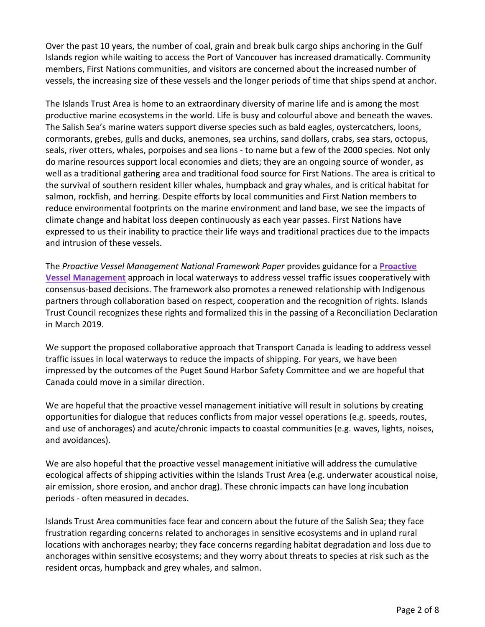Over the past 10 years, the number of coal, grain and break bulk cargo ships anchoring in the Gulf Islands region while waiting to access the Port of Vancouver has increased dramatically. Community members, First Nations communities, and visitors are concerned about the increased number of vessels, the increasing size of these vessels and the longer periods of time that ships spend at anchor.

The Islands Trust Area is home to an extraordinary diversity of marine life and is among the most productive marine ecosystems in the world. Life is busy and colourful above and beneath the waves. The Salish Sea's marine waters support diverse species such as bald eagles, oystercatchers, loons, cormorants, grebes, gulls and ducks, anemones, sea urchins, sand dollars, crabs, sea stars, octopus, seals, river otters, whales, porpoises and sea lions - to name but a few of the 2000 species. Not only do marine resources support local economies and diets; they are an ongoing source of wonder, as well as a traditional gathering area and traditional food source for First Nations. The area is critical to the survival of southern resident killer whales, humpback and gray whales, and is critical habitat for salmon, rockfish, and herring. Despite efforts by local communities and First Nation members to reduce environmental footprints on the marine environment and land base, we see the impacts of climate change and habitat loss deepen continuously as each year passes. First Nations have expressed to us their inability to practice their life ways and traditional practices due to the impacts and intrusion of these vessels.

The *Proactive Vessel Management National Framework Paper* provides guidance for a **[Proactive](https://www.tc.gc.ca/en/services/marine/navigation-marine-conditions/proactive-vessel-management.html)  [Vessel Management](https://www.tc.gc.ca/en/services/marine/navigation-marine-conditions/proactive-vessel-management.html)** approach in local waterways to address vessel traffic issues cooperatively with consensus-based decisions. The framework also promotes a renewed relationship with Indigenous partners through collaboration based on respect, cooperation and the recognition of rights. Islands Trust Council recognizes these rights and formalized this in the passing of a Reconciliation Declaration in March 2019.

We support the proposed collaborative approach that Transport Canada is leading to address vessel traffic issues in local waterways to reduce the impacts of shipping. For years, we have been impressed by the outcomes of the Puget Sound Harbor Safety Committee and we are hopeful that Canada could move in a similar direction.

We are hopeful that the proactive vessel management initiative will result in solutions by creating opportunities for dialogue that reduces conflicts from major vessel operations (e.g. speeds, routes, and use of anchorages) and acute/chronic impacts to coastal communities (e.g. waves, lights, noises, and avoidances).

We are also hopeful that the proactive vessel management initiative will address the cumulative ecological affects of shipping activities within the Islands Trust Area (e.g. underwater acoustical noise, air emission, shore erosion, and anchor drag). These chronic impacts can have long incubation periods - often measured in decades.

Islands Trust Area communities face fear and concern about the future of the Salish Sea; they face frustration regarding concerns related to anchorages in sensitive ecosystems and in upland rural locations with anchorages nearby; they face concerns regarding habitat degradation and loss due to anchorages within sensitive ecosystems; and they worry about threats to species at risk such as the resident orcas, humpback and grey whales, and salmon.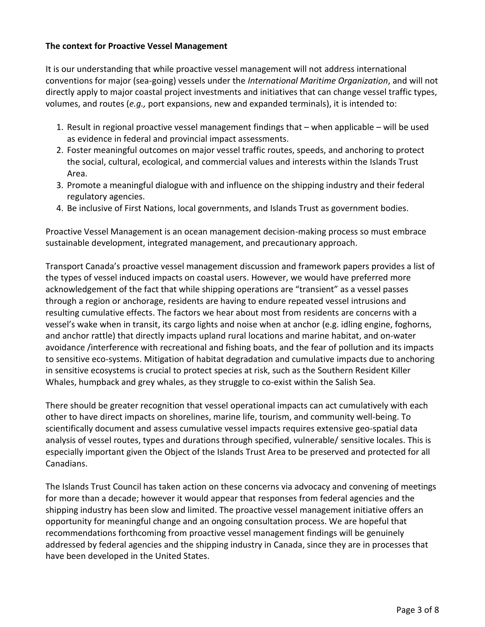#### **The context for Proactive Vessel Management**

It is our understanding that while proactive vessel management will not address international conventions for major (sea-going) vessels under the *International Maritime Organization*, and will not directly apply to major coastal project investments and initiatives that can change vessel traffic types, volumes, and routes (*e.g.,* port expansions, new and expanded terminals), it is intended to:

- 1. Result in regional proactive vessel management findings that when applicable will be used as evidence in federal and provincial impact assessments.
- 2. Foster meaningful outcomes on major vessel traffic routes, speeds, and anchoring to protect the social, cultural, ecological, and commercial values and interests within the Islands Trust Area.
- 3. Promote a meaningful dialogue with and influence on the shipping industry and their federal regulatory agencies.
- 4. Be inclusive of First Nations, local governments, and Islands Trust as government bodies.

Proactive Vessel Management is an ocean management decision-making process so must embrace sustainable development, integrated management, and precautionary approach.

Transport Canada's proactive vessel management discussion and framework papers provides a list of the types of vessel induced impacts on coastal users. However, we would have preferred more acknowledgement of the fact that while shipping operations are "transient" as a vessel passes through a region or anchorage, residents are having to endure repeated vessel intrusions and resulting cumulative effects. The factors we hear about most from residents are concerns with a vessel's wake when in transit, its cargo lights and noise when at anchor (e.g. idling engine, foghorns, and anchor rattle) that directly impacts upland rural locations and marine habitat, and on-water avoidance /interference with recreational and fishing boats, and the fear of pollution and its impacts to sensitive eco-systems. Mitigation of habitat degradation and cumulative impacts due to anchoring in sensitive ecosystems is crucial to protect species at risk, such as the Southern Resident Killer Whales, humpback and grey whales, as they struggle to co-exist within the Salish Sea.

There should be greater recognition that vessel operational impacts can act cumulatively with each other to have direct impacts on shorelines, marine life, tourism, and community well-being. To scientifically document and assess cumulative vessel impacts requires extensive geo-spatial data analysis of vessel routes, types and durations through specified, vulnerable/ sensitive locales. This is especially important given the Object of the Islands Trust Area to be preserved and protected for all Canadians.

The Islands Trust Council has taken action on these concerns via advocacy and convening of meetings for more than a decade; however it would appear that responses from federal agencies and the shipping industry has been slow and limited. The proactive vessel management initiative offers an opportunity for meaningful change and an ongoing consultation process. We are hopeful that recommendations forthcoming from proactive vessel management findings will be genuinely addressed by federal agencies and the shipping industry in Canada, since they are in processes that have been developed in the United States.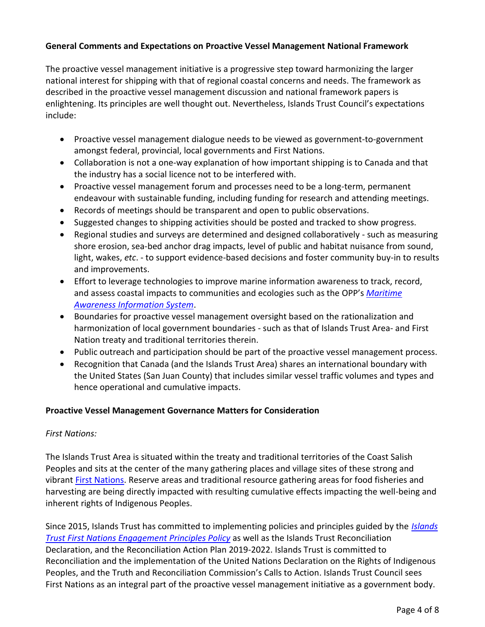## **General Comments and Expectations on Proactive Vessel Management National Framework**

The proactive vessel management initiative is a progressive step toward harmonizing the larger national interest for shipping with that of regional coastal concerns and needs. The framework as described in the proactive vessel management discussion and national framework papers is enlightening. Its principles are well thought out. Nevertheless, Islands Trust Council's expectations include:

- Proactive vessel management dialogue needs to be viewed as government-to-government amongst federal, provincial, local governments and First Nations.
- Collaboration is not a one-way explanation of how important shipping is to Canada and that the industry has a social licence not to be interfered with.
- Proactive vessel management forum and processes need to be a long-term, permanent endeavour with sustainable funding, including funding for research and attending meetings.
- Records of meetings should be transparent and open to public observations.
- Suggested changes to shipping activities should be posted and tracked to show progress.
- Regional studies and surveys are determined and designed collaboratively such as measuring shore erosion, sea-bed anchor drag impacts, level of public and habitat nuisance from sound, light, wakes, *etc*. - to support evidence-based decisions and foster community buy-in to results and improvements.
- Effort to leverage technologies to improve marine information awareness to track, record, and assess coastal impacts to communities and ecologies such as the OPP's *[Maritime](https://www.tc.gc.ca/en/services/marine/navigation-marine-conditions/enhanced-maritime-situational-awareness-initiative-pilot-projects.html)  [Awareness Information System](https://www.tc.gc.ca/en/services/marine/navigation-marine-conditions/enhanced-maritime-situational-awareness-initiative-pilot-projects.html)*.
- Boundaries for proactive vessel management oversight based on the rationalization and harmonization of local government boundaries - such as that of Islands Trust Area- and First Nation treaty and traditional territories therein.
- Public outreach and participation should be part of the proactive vessel management process.
- Recognition that Canada (and the Islands Trust Area) shares an international boundary with the United States (San Juan County) that includes similar vessel traffic volumes and types and hence operational and cumulative impacts.

## **Proactive Vessel Management Governance Matters for Consideration**

#### *First Nations:*

The Islands Trust Area is situated within the treaty and traditional territories of the Coast Salish Peoples and sits at the center of the many gathering places and village sites of these strong and vibrant [First Nations.](http://www.islandstrust.bc.ca/islands/other-jurisdictions/useful-links/) Reserve areas and traditional resource gathering areas for food fisheries and harvesting are being directly impacted with resulting cumulative effects impacting the well-being and inherent rights of Indigenous Peoples.

Since 2015, Islands Trust has committed to implementing policies and principles guided by the *[Islands](http://www.islandstrust.bc.ca/media/342128/firstnationsengagementprinciples.pdf)  [Trust First Nations Engagement Principles Policy](http://www.islandstrust.bc.ca/media/342128/firstnationsengagementprinciples.pdf)* as well as the Islands Trust Reconciliation Declaration, and the Reconciliation Action Plan 2019-2022. Islands Trust is committed to Reconciliation and the implementation of the United Nations Declaration on the Rights of Indigenous Peoples, and the Truth and Reconciliation Commission's Calls to Action. Islands Trust Council sees First Nations as an integral part of the proactive vessel management initiative as a government body.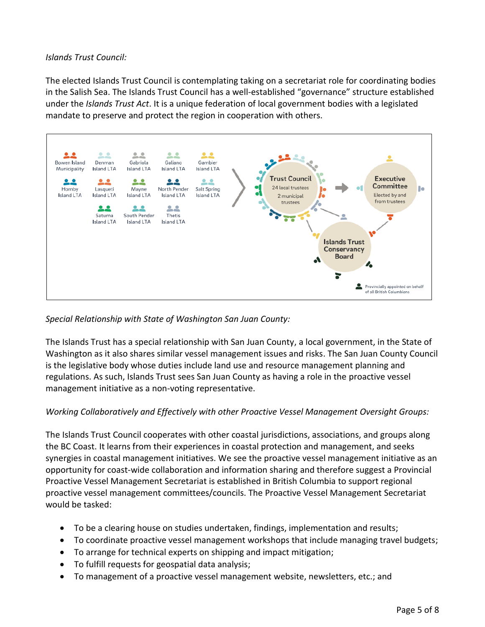#### *Islands Trust Council:*

The elected Islands Trust Council is contemplating taking on a secretariat role for coordinating bodies in the Salish Sea. The Islands Trust Council has a well-established "governance" structure established under the *Islands Trust Act*. It is a unique federation of local government bodies with a legislated mandate to preserve and protect the region in cooperation with others.



#### *Special Relationship with State of Washington San Juan County:*

The Islands Trust has a special relationship with San Juan County, a local government, in the State of Washington as it also shares similar vessel management issues and risks. The San Juan County Council is the legislative body whose duties include land use and resource management planning and regulations. As such, Islands Trust sees San Juan County as having a role in the proactive vessel management initiative as a non-voting representative.

## *Working Collaboratively and Effectively with other Proactive Vessel Management Oversight Groups:*

The Islands Trust Council cooperates with other coastal jurisdictions, associations, and groups along the BC Coast. It learns from their experiences in coastal protection and management, and seeks synergies in coastal management initiatives. We see the proactive vessel management initiative as an opportunity for coast-wide collaboration and information sharing and therefore suggest a Provincial Proactive Vessel Management Secretariat is established in British Columbia to support regional proactive vessel management committees/councils. The Proactive Vessel Management Secretariat would be tasked:

- To be a clearing house on studies undertaken, findings, implementation and results;
- To coordinate proactive vessel management workshops that include managing travel budgets;
- To arrange for technical experts on shipping and impact mitigation;
- To fulfill requests for geospatial data analysis;
- To management of a proactive vessel management website, newsletters, etc.; and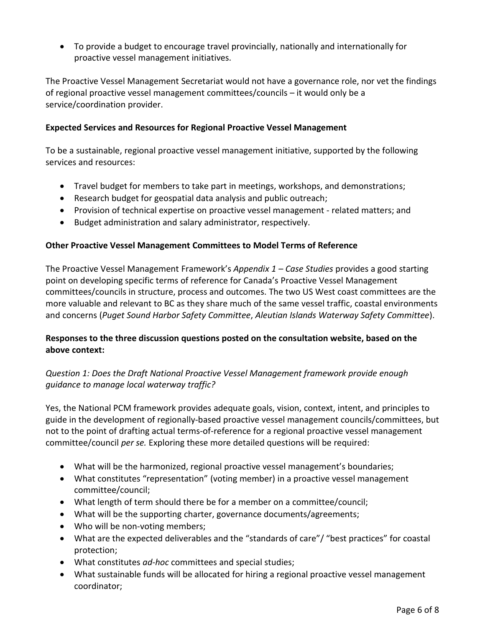To provide a budget to encourage travel provincially, nationally and internationally for proactive vessel management initiatives.

The Proactive Vessel Management Secretariat would not have a governance role, nor vet the findings of regional proactive vessel management committees/councils – it would only be a service/coordination provider.

#### **Expected Services and Resources for Regional Proactive Vessel Management**

To be a sustainable, regional proactive vessel management initiative, supported by the following services and resources:

- Travel budget for members to take part in meetings, workshops, and demonstrations;
- Research budget for geospatial data analysis and public outreach;
- Provision of technical expertise on proactive vessel management related matters; and
- Budget administration and salary administrator, respectively.

#### **Other Proactive Vessel Management Committees to Model Terms of Reference**

The Proactive Vessel Management Framework's *Appendix 1 – Case Studies* provides a good starting point on developing specific terms of reference for Canada's Proactive Vessel Management committees/councils in structure, process and outcomes. The two US West coast committees are the more valuable and relevant to BC as they share much of the same vessel traffic, coastal environments and concerns (*Puget Sound Harbor Safety Committee*, *Aleutian Islands Waterway Safety Committee*).

## **Responses to the three discussion questions posted on the consultation website, based on the above context:**

# *Question 1: Does the Draft National Proactive Vessel Management framework provide enough guidance to manage local waterway traffic?*

Yes, the National PCM framework provides adequate goals, vision, context, intent, and principles to guide in the development of regionally-based proactive vessel management councils/committees, but not to the point of drafting actual terms-of-reference for a regional proactive vessel management committee/council *per se.* Exploring these more detailed questions will be required:

- What will be the harmonized, regional proactive vessel management's boundaries;
- What constitutes "representation" (voting member) in a proactive vessel management committee/council;
- What length of term should there be for a member on a committee/council;
- What will be the supporting charter, governance documents/agreements;
- Who will be non-voting members;
- What are the expected deliverables and the "standards of care"/ "best practices" for coastal protection;
- What constitutes *ad-hoc* committees and special studies;
- What sustainable funds will be allocated for hiring a regional proactive vessel management coordinator;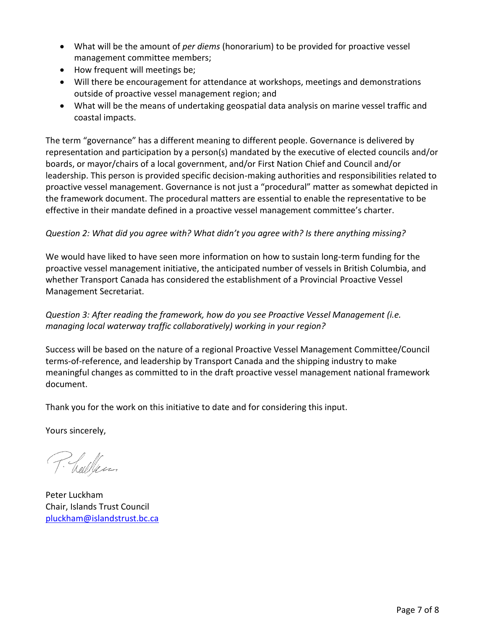- What will be the amount of *per diems* (honorarium) to be provided for proactive vessel management committee members;
- How frequent will meetings be;
- Will there be encouragement for attendance at workshops, meetings and demonstrations outside of proactive vessel management region; and
- What will be the means of undertaking geospatial data analysis on marine vessel traffic and coastal impacts.

The term "governance" has a different meaning to different people. Governance is delivered by representation and participation by a person(s) mandated by the executive of elected councils and/or boards, or mayor/chairs of a local government, and/or First Nation Chief and Council and/or leadership. This person is provided specific decision-making authorities and responsibilities related to proactive vessel management. Governance is not just a "procedural" matter as somewhat depicted in the framework document. The procedural matters are essential to enable the representative to be effective in their mandate defined in a proactive vessel management committee's charter.

## *Question 2: What did you agree with? What didn't you agree with? Is there anything missing?*

We would have liked to have seen more information on how to sustain long-term funding for the proactive vessel management initiative, the anticipated number of vessels in British Columbia, and whether Transport Canada has considered the establishment of a Provincial Proactive Vessel Management Secretariat.

*Question 3: After reading the framework, how do you see Proactive Vessel Management (i.e. managing local waterway traffic collaboratively) working in your region?*

Success will be based on the nature of a regional Proactive Vessel Management Committee/Council terms-of-reference, and leadership by Transport Canada and the shipping industry to make meaningful changes as committed to in the draft proactive vessel management national framework document.

Thank you for the work on this initiative to date and for considering this input.

Yours sincerely,

P. hallen

Peter Luckham Chair, Islands Trust Council [pluckham@islandstrust.bc.ca](mailto:pluckham@islandstrust.bc.ca)